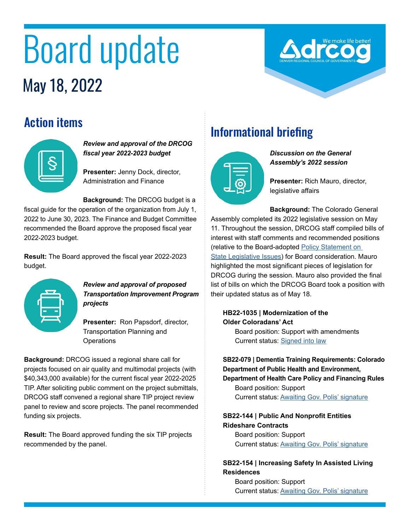# Board update May 18, 2022

## Action items



#### *Review and approval of the DRCOG fiscal year 2022-2023 budget*

**Presenter:** Jenny Dock, director, Administration and Finance

**Background:** The DRCOG budget is a fiscal guide for the operation of the organization from July 1, 2022 to June 30, 2023. The Finance and Budget Committee recommended the Board approve the proposed fiscal year 2022-2023 budget.

**Result:** The Board approved the fiscal year 2022-2023 budget.



#### *Review and approval of proposed Transportation Improvement Program projects*

**Presenter:** Ron Papsdorf, director, Transportation Planning and **Operations** 

**Background:** DRCOG issued a regional share call for projects focused on air quality and multimodal projects (with \$40,343,000 available) for the current fiscal year 2022-2025 TIP. After soliciting public comment on the project submittals, DRCOG staff convened a regional share TIP project review panel to review and score projects. The panel recommended funding six projects.

**Result:** The Board approved funding the six TIP projects recommended by the panel.

# Informational briefing



*Discussion on the General Assembly's 2022 session*

**Presenter:** Rich Mauro, director, legislative affairs

**Background:** The Colorado General Assembly completed its 2022 legislative session on May 11. Throughout the session, DRCOG staff compiled bills of interest with staff comments and recommended positions (relative to the Board-adopted Policy Statement on [State Legislative Issues](https://drcog.org/sites/default/files/resources/EO-RP-22STATEPOLICY-22-01-21.pdf)) for Board consideration. Mauro highlighted the most significant pieces of legislation for DRCOG during the session. Mauro also provided the final list of bills on which the DRCOG Board took a position with their updated status as of May 18.

### **HB22-1035 | Modernization of the Older Coloradans' Act**

Board position: Support with amendments Current status: [Signed into law](https://leg.colorado.gov/bills/hb22-1035)

#### **SB22-079 | Dementia Training Requirements: Colorado Department of Public Health and Environment, Department of Health Care Policy and Financing Rules**

Board position: Support Current status: Awaiting Gov. Polis' signature

#### **SB22-144 | Public And Nonprofit Entities Rideshare Contracts** Board position: Support

Current status: Awaiting Gov. Polis' signature

#### **SB22-154 | Increasing Safety In Assisted Living Residences**

Board position: Support Current status: [Awaiting Gov. Polis' signature](https://leg.colorado.gov/bills/sb22-154)